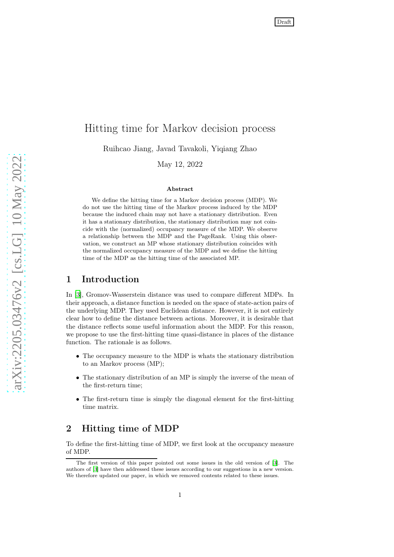# Hitting time for Markov decision process

Ruihcao Jiang, Javad Tavakoli, Yiqiang Zhao

May 12, 2022

#### Abstract

We define the hitting time for a Markov decision process (MDP). We do not use the hitting time of the Markov process induced by the MDP because the induced chain may not have a stationary distribution. Even it has a stationary distribution, the stationary distribution may not coincide with the (normalized) occupancy measure of the MDP. We observe a relationship between the MDP and the PageRank. Using this observation, we construct an MP whose stationary distribution coincides with the normalized occupancy measure of the MDP and we define the hitting time of the MDP as the hitting time of the associated MP.

#### 1 Introduction

In [\[3\]](#page-5-0), Gromov-Wasserstein distance was used to compare different MDPs. In their approach, a distance function is needed on the space of state-action pairs of the underlying MDP. They used Euclidean distance. However, it is not entirely clear how to define the distance between actions. Moreover, it is desirable that the distance reflects some useful information about the MDP. For this reason, we propose to use the first-hitting time quasi-distance in places of the distance function. The rationale is as follows.

- The occupancy measure to the MDP is whats the stationary distribution to an Markov process (MP);
- The stationary distribution of an MP is simply the inverse of the mean of the first-return time;
- The first-return time is simply the diagonal element for the first-hitting time matrix.

# 2 Hitting time of MDP

To define the first-hitting time of MDP, we first look at the occupancy measure of MDP.

The first version of this paper pointed out some issues in the old version of [\[3\]](#page-5-0). The authors of [\[3\]](#page-5-0) have then addressed these issues according to our suggestions in a new version. We therefore updated our paper, in which we removed contents related to these issues.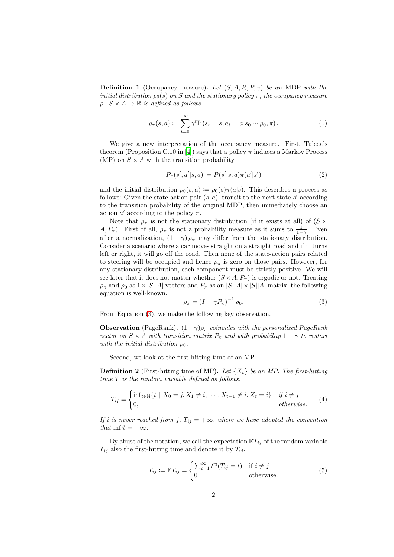Definition 1 (Occupancy measure). *Let* (S, A, R, P, γ) *be an* MDP *with the initial distribution*  $\rho_0(s)$  *on* S *and the stationary policy* π, the occupancy measure  $\rho: S \times A \rightarrow \mathbb{R}$  *is defined as follows.* 

$$
\rho_{\pi}(s, a) \coloneqq \sum_{t=0}^{\infty} \gamma^t \mathbb{P}\left(s_t = s, a_t = a | s_0 \sim \rho_0, \pi\right). \tag{1}
$$

We give a new interpretation of the occupancy measure. First, Tulcea's theorem (Proposition C.10 in [\[4](#page-5-1)]) says that a policy  $\pi$  induces a Markov Process (MP) on  $S \times A$  with the transition probability

<span id="page-1-1"></span>
$$
P_{\pi}(s', a'|s, a) \coloneqq P(s'|s, a)\pi(a'|s')
$$
 (2)

and the initial distribution  $\rho_0(s, a) := \rho_0(s)\pi(a|s)$ . This describes a process as follows: Given the state-action pair  $(s, a)$ , transit to the next state s' according to the transition probability of the original MDP; then immediately choose an action  $a'$  according to the policy  $\pi$ .

Note that  $\rho_{\pi}$  is not the stationary distribution (if it exists at all) of (S  $\times$  $A, P_{\pi}$ ). First of all,  $\rho_{\pi}$  is not a probability measure as it sums to  $\frac{1}{1-\gamma}$ . Even after a normalization,  $(1 - \gamma)\rho_{\pi}$  may differ from the stationary distribution. Consider a scenario where a car moves straight on a straight road and if it turns left or right, it will go off the road. Then none of the state-action pairs related to steering will be occupied and hence  $\rho_{\pi}$  is zero on those pairs. However, for any stationary distribution, each component must be strictly positive. We will see later that it does not matter whether  $(S \times A, P_\pi)$  is ergodic or not. Treating  $\rho_{\pi}$  and  $\rho_0$  as  $1 \times |S||A|$  vectors and  $P_{\pi}$  as an  $|S||A| \times |S||A|$  matrix, the following equation is well-known.

<span id="page-1-0"></span>
$$
\rho_{\pi} = \left(I - \gamma P_{\pi}\right)^{-1} \rho_0. \tag{3}
$$

From Equation [\(3\)](#page-1-0), we make the following key observation.

**Observation** (PageRank).  $(1 - \gamma)\rho_{\pi}$  *coincides with the personalized PageRank vector on*  $S \times A$  *with transition matrix*  $P_{\pi}$  *and with probability*  $1 - \gamma$  *to restart with the initial distribution*  $\rho_0$ *.* 

Second, we look at the first-hitting time of an MP.

**Definition 2** (First-hitting time of MP). Let  $\{X_t\}$  be an MP. The first-hitting *time* T *is the random variable defined as follows.*

$$
T_{ij} = \begin{cases} \inf_{t \in \mathbb{N}} \{t \mid X_0 = j, X_1 \neq i, \cdots, X_{t-1} \neq i, X_t = i\} & \text{if } i \neq j \\ 0, & \text{otherwise.} \end{cases} \tag{4}
$$

*If i is never reached from j,*  $T_{ij} = +\infty$ *, where we have adopted the convention that* inf  $\emptyset = +\infty$ *.* 

By abuse of the notation, we call the expectation  $\mathbb{E}T_{ij}$  of the random variable  $T_{ij}$  also the first-hitting time and denote it by  $T_{ij}$ .

$$
T_{ij} := \mathbb{E}T_{ij} = \begin{cases} \sum_{t=1}^{\infty} t \mathbb{P}(T_{ij} = t) & \text{if } i \neq j \\ 0 & \text{otherwise.} \end{cases}
$$
(5)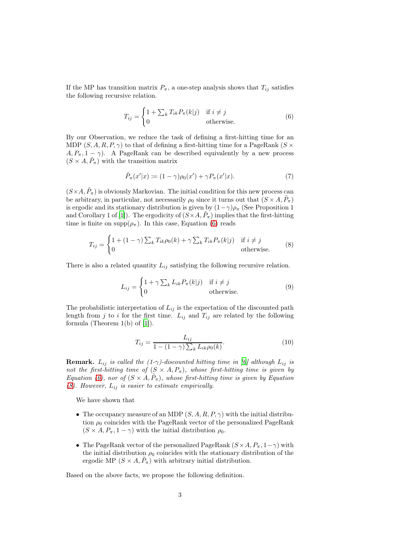If the MP has transition matrix  $P_{\pi}$ , a one-step analysis shows that  $T_{ij}$  satisfies the following recursive relation.

<span id="page-2-0"></span>
$$
T_{ij} = \begin{cases} 1 + \sum_{k} T_{ik} P_{\pi}(k|j) & \text{if } i \neq j \\ 0 & \text{otherwise.} \end{cases}
$$
 (6)

By our Observation, we reduce the task of defining a first-hitting time for an MDP  $(S, A, R, P, \gamma)$  to that of defining a first-hitting time for a PageRank  $(S \times P)$  $A, P_{\pi}, 1 - \gamma$ ). A PageRank can be described equivalently by a new process  $(S \times A, \tilde{P}_{\pi})$  with the transition matrix

<span id="page-2-2"></span>
$$
\tilde{P}_{\pi}(x'|x) := (1 - \gamma)\rho_0(x') + \gamma P_{\pi}(x'|x). \tag{7}
$$

 $(S\times A, \tilde{P}_{\pi})$  is obviously Markovian. The initial condition for this new process can be arbitrary, in particular, not necessarily  $\rho_0$  since it turns out that  $(S \times A, \tilde{P}_{\pi})$ is ergodic and its stationary distribution is given by  $(1-\gamma)\rho_{\pi}$  (See Proposition 1 and Corollary 1 of [\[1\]](#page-4-0)). The ergodicity of  $(S\times A, \tilde{P}_\pi)$  implies that the first-hitting time is finite on  $\text{supp}(\rho_{\pi})$ . In this case, Equation [\(6\)](#page-2-0) reads

<span id="page-2-1"></span>
$$
T_{ij} = \begin{cases} 1 + (1 - \gamma) \sum_{k} T_{ik} \rho_0(k) + \gamma \sum_{k} T_{ik} P_{\pi}(k|j) & \text{if } i \neq j \\ 0 & \text{otherwise.} \end{cases}
$$
(8)

There is also a related quantity  $L_{ij}$  satisfying the following recursive relation.

$$
L_{ij} = \begin{cases} 1 + \gamma \sum_{k} L_{ik} P_{\pi}(k|j) & \text{if } i \neq j \\ 0 & \text{otherwise.} \end{cases}
$$
(9)

The probabilistic interpretation of  $L_{ij}$  is the expectation of the discounted path length from j to i for the first time.  $L_{ij}$  and  $T_{ij}$  are related by the following formula (Theorem 1(b) of [\[1](#page-4-0)]).

$$
T_{ij} = \frac{L_{ij}}{1 - (1 - \gamma) \sum_{k} L_{ik} \rho_0(k)}.
$$
\n(10)

**Remark.**  $L_{ij}$  *is called the (1-*γ*)*-discounted hitting time in [\[6\]](#page-5-2) although  $L_{ij}$  *is not the first-hitting time of*  $(S \times A, P_\pi)$ *, whose first-hitting time is given by Equation* [\(6\)](#page-2-0), nor of  $(S \times A, \tilde{P}_{\pi})$ , whose first-hitting time is given by Equation *[\(8\)](#page-2-1). However,* Lij *is easier to estimate empirically.*

We have shown that

- The occupancy measure of an MDP  $(S, A, R, P, \gamma)$  with the initial distribution  $\rho_0$  coincides with the PageRank vector of the personalized PageRank  $(S \times A, P_\pi, 1 - \gamma)$  with the initial distribution  $\rho_0$ .
- The PageRank vector of the personalized PageRank  $(S \times A, P_\pi, 1-\gamma)$  with the initial distribution  $\rho_0$  coincides with the stationary distribution of the ergodic MP  $(S \times A, \tilde{P}_{\pi})$  with arbitrary initial distribution.

Based on the above facts, we propose the following definition.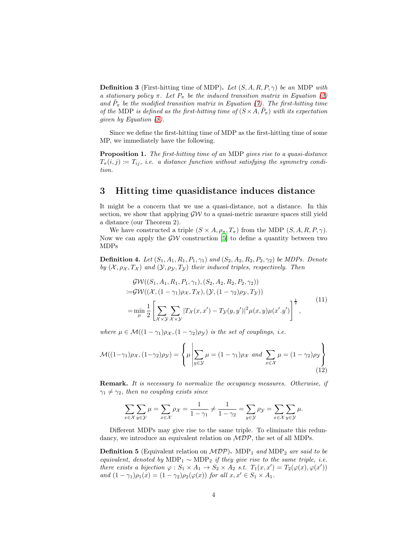Definition 3 (First-hitting time of MDP). *Let* (S, A, R, P, γ) *be an* MDP *with a stationary policy*  $\pi$ *. Let*  $P_{\pi}$  *be the induced transition matrix in Equation* [\(2\)](#page-1-1) and  $\tilde{P}_{\pi}$  be the modified transition matrix in Equation [\(7\)](#page-2-2). The first-hitting time *of the* MDP *is defined as the first-hitting time of*  $(S \times A, \tilde{P}_{\pi})$  *with its expectation given by Equation [\(8\)](#page-2-1).*

Since we define the first-hitting time of MDP as the first-hitting time of some MP, we immediately have the following.

Proposition 1. *The first-hitting time of an* MDP *gives rise to a quasi-distance*  $T_{\pi}(i, j) \coloneqq T_{ij}$ , *i.e.* a distance function without satisfying the symmetry condi*tion.*

#### 3 Hitting time quasidistance induces distance

It might be a concern that we use a quasi-distance, not a distance. In this section, we show that applying  $\mathcal{GW}$  to a quasi-metric measure spaces still yield a distance (our Theorem 2).

We have constructed a triple  $(S \times A, \rho_\pi, T_\pi)$  from the MDP  $(S, A, R, P, \gamma)$ . Now we can apply the  $\mathcal{GW}$  construction [\[5](#page-5-3)] to define a quantity between two MDPs

**Definition 4.** *Let*  $(S_1, A_1, R_1, P_1, \gamma_1)$  *and*  $(S_2, A_2, R_2, P_2, \gamma_2)$  *be MDPs. Denote by*  $(X, \rho_X, T_X)$  *and*  $(Y, \rho_Y, T_Y)$  *their induced triples, respectively. Then* 

<span id="page-3-0"></span>
$$
\mathcal{GW}((S_1, A_1, R_1, P_1, \gamma_1), (S_2, A_2, R_2, P_2, \gamma_2))
$$
  
= $\mathcal{GW}((\mathcal{X}, (1 - \gamma_1)\rho_{\mathcal{X}}, T_{\mathcal{X}}), (\mathcal{Y}, (1 - \gamma_2)\rho_{\mathcal{Y}}, T_{\mathcal{Y}}))$   
= $\min_{\mu} \frac{1}{2} \left[ \sum_{\mathcal{X} \times \mathcal{Y}} \sum_{\mathcal{X} \times \mathcal{Y}} |T_{\mathcal{X}}(x, x') - T_{\mathcal{Y}}(y, y')|^2 \mu(x, y) \mu(x', y') \right]^{\frac{1}{2}},$  (11)

*where*  $\mu \in \mathcal{M}((1 - \gamma_1)\rho_{\mathcal{X}}, (1 - \gamma_2)\rho_{\mathcal{Y}})$  *is the set of couplings, i.e.* 

<span id="page-3-1"></span>
$$
\mathcal{M}((1-\gamma_1)\rho_{\mathcal{X}}, (1-\gamma_2)\rho_{\mathcal{Y}}) = \left\{\mu \left| \sum_{y \in \mathcal{Y}} \mu = (1-\gamma_1)\rho_{\mathcal{X}} \text{ and } \sum_{x \in \mathcal{X}} \mu = (1-\gamma_2)\rho_{\mathcal{Y}} \right\}\right\}
$$
(12)

Remark. *It is necessary to normalize the occupancy measures. Otherwise, if*  $\gamma_1 \neq \gamma_2$ , then no coupling exists since

$$
\sum_{x \in \mathcal{X}} \sum_{y \in \mathcal{Y}} \mu = \sum_{x \in \mathcal{X}} \rho_{\mathcal{X}} = \frac{1}{1 - \gamma_1} \neq \frac{1}{1 - \gamma_2} = \sum_{y \in \mathcal{Y}} \rho_{\mathcal{Y}} = \sum_{x \in \mathcal{X}} \sum_{y \in \mathcal{Y}} \mu.
$$

Different MDPs may give rise to the same triple. To eliminate this redundancy, we introduce an equivalent relation on  $\mathcal{MDP}$ , the set of all MDPs.

Definition 5 (Equivalent relation on  $MDP$ ). MDP<sub>1</sub> and MDP<sub>2</sub> are said to be *equivalent, denoted by* MDP<sub>1</sub>  $\sim$  MDP<sub>2</sub> *if they give rise to the same triple, i.e. there exists a bijection*  $\varphi : S_1 \times A_1 \to S_2 \times A_2$  *s.t.*  $T_1(x, x') = T_2(\varphi(x), \varphi(x'))$ *and*  $(1 - \gamma_1)\rho_1(x) = (1 - \gamma_2)\rho_2(\varphi(x))$  *for all*  $x, x' \in S_1 \times A_1$ *.*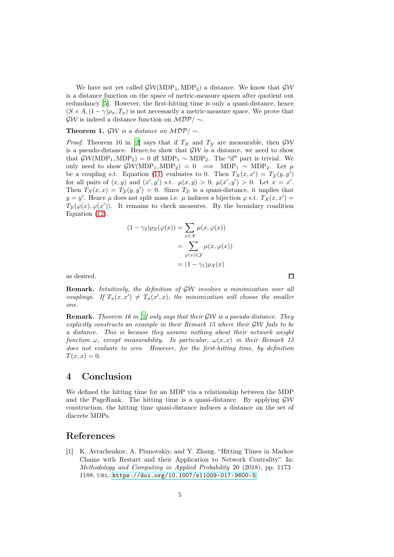We have not yet called  $\mathcal{GW}(MDP_1, MDP_2)$  a distance. We know that  $\mathcal{GW}$ is a distance function on the space of metric-measure spaces after quotient out redundancy [\[5\]](#page-5-3). However, the first-hitting time is only a quasi-distance, hence  $(S \times A, (1 - \gamma)\rho_\pi, T_\pi)$  is not necessarily a metric-measure space. We prove that  $\mathcal{GW}$  is indeed a distance function on  $\mathcal{MDP}/\sim$ .

Theorem 1.  $\mathcal{G}W$  *is a distance on*  $\mathcal{MDP}/\sim$ *.* 

*Proof.* Theorem 16 in [\[2\]](#page-5-4) says that if  $T<sub>X</sub>$  and  $T<sub>Y</sub>$  are measurable, then  $\mathcal{GW}$ is a pseudo-distance. Hence, to show that  $\mathcal{GW}$  is a distance, we need to show that  $\mathcal{GW}(MDP_1, MDP_2) = 0$  iff  $MDP_1 \sim MDP_2$ . The "if" part is trivial. We only need to show  $\mathcal{GW}(MDP_1, MDP_2) = 0 \implies MDP_1 \sim MDP_2$ . Let  $\mu$ be a coupling s.t. Equation [\(11\)](#page-3-0) evaluates to 0. Then  $T_{\mathcal{X}}(x,x') = T_{\mathcal{Y}}(y,y')$ for all pairs of  $(x, y)$  and  $(x', y')$  s.t.  $\mu(x, y) > 0$ ,  $\mu(x', y') > 0$ . Let  $x = x'$ . Then  $T_{\mathcal{X}}(x,x) = T_{\mathcal{Y}}(y,y') = 0$ . Since  $T_{\mathcal{Y}}$  is a quasi-distance, it implies that  $y = y'$ . Hence  $\mu$  does not split mass i.e.  $\mu$  induces a bijection  $\varphi$  s.t.  $T_{\mathcal{X}}(x, x') =$  $T_{\mathcal{Y}}(\varphi(x), \varphi(x'))$ . It remains to check measures. By the boundary condition Equation [\(12\)](#page-3-1),

$$
(1 - \gamma_2)\rho_{\mathcal{Y}}(\varphi(x)) = \sum_{x \in \mathcal{X}} \mu(x, \varphi(x))
$$

$$
= \sum_{\varphi(x) \in \mathcal{Y}} \mu(x, \varphi(x))
$$

$$
= (1 - \gamma_1)\rho_{\mathcal{X}}(x)
$$

口

as desired.

Remark. *Intuitively, the definition of* GW *involves a minimization over all couplings.* If  $T_{\pi}(x, x') \neq T_{\pi}(x', x)$ , the minimization will choose the smaller *one.*

Remark. *Theorem 16 in [\[2\]](#page-5-4) only says that their* GW *is a pseudo-distance. They explicitly constructs an example in their Remark 15 where their* GW *fails to be a distance. This is because they assume nothing about their network weight function*  $\omega$ *, except measurability. In particular,*  $\omega(x, x)$  *in their Remark 15 does not evaluate to zero. However, for the first-hitting time, by definition*  $T(x, x) = 0.$ 

# 4 Conclusion

We defined the hitting time for an MDP via a relationship between the MDP and the PageRank. The hitting time is a quasi-distance. By applying  $\mathcal{G}W$ construction, the hitting time quasi-distance induces a distance on the set of discrete MDPs.

### <span id="page-4-0"></span>References

[1] K. Avrachenkov, A. Piunovskiy, and Y. Zhang. "Hitting Times in Markov Chains with Restart and their Application to Network Centrality". In: *Methodology and Computing in Applied Probability* 20 (2018), pp. 1173– 1188. url: <https://doi.org/10.1007/s11009-017-9600-5>.